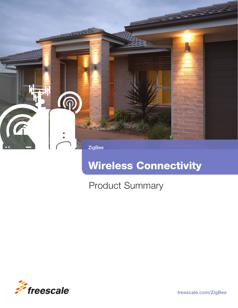

# Wireless Connectivity

## Product Summary



freescale.com/ZigBee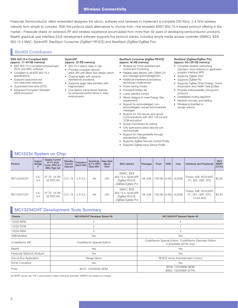### Wireless Connectivity

Freescale Semiconductor offers embedded designers the silicon, software and hardware to implement a complete 250 Kb/s, 2.4 GHz wireless network from simple to complex. With five protocol stack alternatives to choose from—the broadest IEEE® 802.15.4-based protocol offering in the market—Freescale draws on extensive RF and wireless experience accumulated from more than 50 years of developing semiconductor products. BeeKit graphical user interface (GUI) development software supports five protocol stacks, including simple media access controller (SMAC), IEEE 802.15.4 MAC, SynkroRF, BeeStack Consumer (ZigBee® RF4CE) and BeeStack (ZigBee/ZigBee Pro).

### BeeKit Codebases

#### IEEE 802.15.4-Compliant MAC (approx. 17–40 KB memory)

- IEEE 802.15.4-compliant physical layer (PHY) and MAC software
- Compliant to all IEEE 802.15.4 specifications
- Supports beaconed and non-beaconed networks
- Guaranteed time slots (GTS)
- Advanced Encryption Standard (AES) encryption

#### SynkroRF (approx. 32 KB memory)

- 802.15.4 based, easy to use • Provides complete network
- stack API with Black Box design option • Channel agility with dynamic
- interference avoidance
- Supports larger data transfers with fragmentation
- Low latency transmission features for enhanced performance in noisy environments

#### BeeStack Consumer (ZigBee RF4CE) (approx. 40 KB memory)

- Wireless for home entertainment control and monitoring
- Reliable data delivery with CSMA-CA and message acknowledgement
- Additional interference avoidance techniques implemented
- Power saving modes
- Increased battery life
- Lower standby current
- Allows designs to meet Energy Star requirements
- Support for acknowledged, nonacknowledged, unicast and broadcast messages
- Support for non-secure and secure communications with AES 128-bit and CCM encryption
- Simple mechanism for pairing
- Only authorized paired devices can communicate
- Support for interoperability through standardized profiles
- Supports ZigBee Remote Control Profile
- Supports ZigBee Input Device Profile
- BeeStack (ZigBee/ZigBee Pro) (approx. 64–128 KB memory)
- Complete wireless networking standard—from antenna to application program interface (API)
- Supports ZigBee 2007
- Supports ZigBee Pro
- Supports ZigBee Smart Energy, Home Automation and Health Care profiles
- Provides interoperability among end products
- Established routing algorithm
- Network recovery and healing
- Wireless embedded or dongle options

### **MC1323x System on Chip**

| Product    | Supply<br>Voltage | <b>Supply Current</b><br>at 1% Duty<br>Cycle, CPU at 1<br>MHz (Typ) mA | Standby<br>Current<br>(Typ) µA | Frequency<br>Band GHz | Sensitivity   Data Rate<br>at $1\%$ PER<br>(Typ) dBm | (Spec)<br>Kb/s | <b>MAC Options</b>                                                      | Packages | Flash       | <b>RAM</b> | Core  | <b>Interfaces and Peripherals</b>                                        | 2013<br><b>MSRP</b><br>(10 Ku) |
|------------|-------------------|------------------------------------------------------------------------|--------------------------------|-----------------------|------------------------------------------------------|----------------|-------------------------------------------------------------------------|----------|-------------|------------|-------|--------------------------------------------------------------------------|--------------------------------|
| MC13234CHT | $-8 - 1$<br>3.6   | 27 TX, 34 RX,<br>22 PPD RX                                             | $0.5 - .75$                    | $2.4 - 2.5$           | $-94$                                                | 250            | SMAC, IEEE<br>802.15.4, SynkroRF,<br>ZigBee RF4CE,<br>ZigBee/ZigBee Pro | 48 LGA   | 128 KB 8 KB |            | HCS08 | Timers, KBI, SCI/UART,  <br>I <sup>2</sup> C, SPI, CMT, RTC              | \$2.62                         |
| MC13237CHT | $-8.1$<br>3.6     | 27 TX, 34 RX,<br>22 PPD RX                                             | $0.5 - .75$                    | $2.4 - 2.5$           | $-94$                                                | 250            | SMAC, IEEE<br>802.15.4, SynkroRF,<br>ZigBee RF4CE,<br>ZigBee/ZigBee Pro | 48 LGA   | 128 KB 8 KB |            | HCS08 | Timers, KBI, SCI/UART,<br>I <sup>2</sup> C, SPI, CMT, RTC,<br>12-bit ADC | \$2.83                         |

### MC13234CHT Development Tools Summary

| Feature                    | MC13234CHT Developer Starter Kit | MC13234CHT Network Starter Kit                                                    |  |  |
|----------------------------|----------------------------------|-----------------------------------------------------------------------------------|--|--|
| 1323X-MRB                  |                                  | 4                                                                                 |  |  |
| 1323X-RCM                  |                                  |                                                                                   |  |  |
| 1323X-REM                  | 2                                | 3                                                                                 |  |  |
| <b>USB Multilink</b>       | Yes                              | Yes                                                                               |  |  |
| CodeWarrior IDE            | CodeWarrior Special Edition      | CodeWarrior Special Edition, CodeWarrior Standard Edition<br>(13234NSK-SFTW only) |  |  |
| BeeKit                     | Yes                              | Yes                                                                               |  |  |
| Freescale Network Analyzer | Yes                              | Yes                                                                               |  |  |
| Out-of-Box Application     | Range Demo                       | RF4CE Home Entertainment Control                                                  |  |  |
| RoHS Compliant             | Yes                              | Yes                                                                               |  |  |
| Price                      | \$279: 13234DSK-BDM              | \$529: 13234NSK-BDM<br>\$999: 13234NSK-SFTW                                       |  |  |

All MSRP shown are 10K U price points unless otherwise specified. MSRPs are subject to change.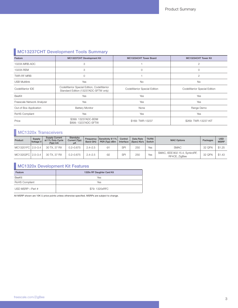## **MC13237CHT Development Tools Summary**

| Feature                    | MC13237CHT Development Kit                                                        | MC13234CHT Tower Board      | MC13234CHT Tower Kit        |  |
|----------------------------|-----------------------------------------------------------------------------------|-----------------------------|-----------------------------|--|
| 1323X-MRB-ADC              | 3                                                                                 |                             | $\mathbf{2}^{\prime}$       |  |
| 1323X-REM                  | 3                                                                                 | $\Omega$                    | $\circ$                     |  |
| TWR-RF-MRB                 | $\circ$                                                                           |                             | $\mathbf{2}$                |  |
| <b>USB Multilink</b>       | Yes                                                                               | <b>No</b>                   | <b>No</b>                   |  |
| CodeWarrior IDE            | CodeWarrior Special Edition, CodeWarrior<br>Standard Edition (13237ADC-SFTW only) | CodeWarrior Special Edition | CodeWarrior Special Edition |  |
| BeeKit                     | Yes                                                                               | Yes                         | Yes                         |  |
| Freescale Network Analyzer | Yes                                                                               | Yes                         | Yes                         |  |
| Out-of Box Application     | <b>Battery Monitor</b>                                                            | None                        | Range Demo                  |  |
| RoHS Compliant             | Yes                                                                               | Yes                         | Yes                         |  |
| Price                      | \$399: 13237ADC-BDM<br>\$899: 13237ADC-SFTW                                       | \$169: TWR-13237            | \$269: TWR-13237-KIT        |  |

### **MC1320x Transceivers**

| Product           | Supply<br>Voltage V | <b>Supply Current</b><br>at 1% Duty Cycle<br>(Typ) mA | Standyby<br>Current (Typ)<br>μA | Frequency<br><b>Band GHz</b> | Sensitivity @ 1%<br>PER (Typ) dBm | Control<br>Interface | Data Rate<br>(Spec) Kb/s | <b>TX/RX</b><br>Switch | <b>MAC Options</b>                              | Packages | <b>USD</b><br><b>MSRP</b> |
|-------------------|---------------------|-------------------------------------------------------|---------------------------------|------------------------------|-----------------------------------|----------------------|--------------------------|------------------------|-------------------------------------------------|----------|---------------------------|
| MC13201FC 2.0-3.4 |                     | 30 TX, 37 RX                                          | $0.2 - 0.675$                   | $2.4 - 2.5$                  | -91                               | <b>SP</b>            | 250                      | Yes                    | <b>SMAC</b>                                     | 32 QFN   | \$1.25                    |
| MC13202FC 2.0-3.4 |                     | 30 TX, 37 RX                                          | $0.2 - 0.675$                   | $2.4 - 2.5$                  | $-92$                             | SP                   | 250                      | Yes                    | SMAC, IEEE 802.15.4, SynkroRF,<br>RF4CE, ZigBee | 32 QFN   | \$1.43                    |

## MC1320x Development Kit Features

| Feature         | 1320x RF Daughter Card Kit |  |  |  |  |  |
|-----------------|----------------------------|--|--|--|--|--|
| <b>BeeKit</b>   | Yes                        |  |  |  |  |  |
| RoHS Compliant  | Yes                        |  |  |  |  |  |
| USD MSRP-Part # | \$79: 1320xRFC             |  |  |  |  |  |

All MSRP shown are 10K U price points unless otherwise specified. MSRPs are subject to change.